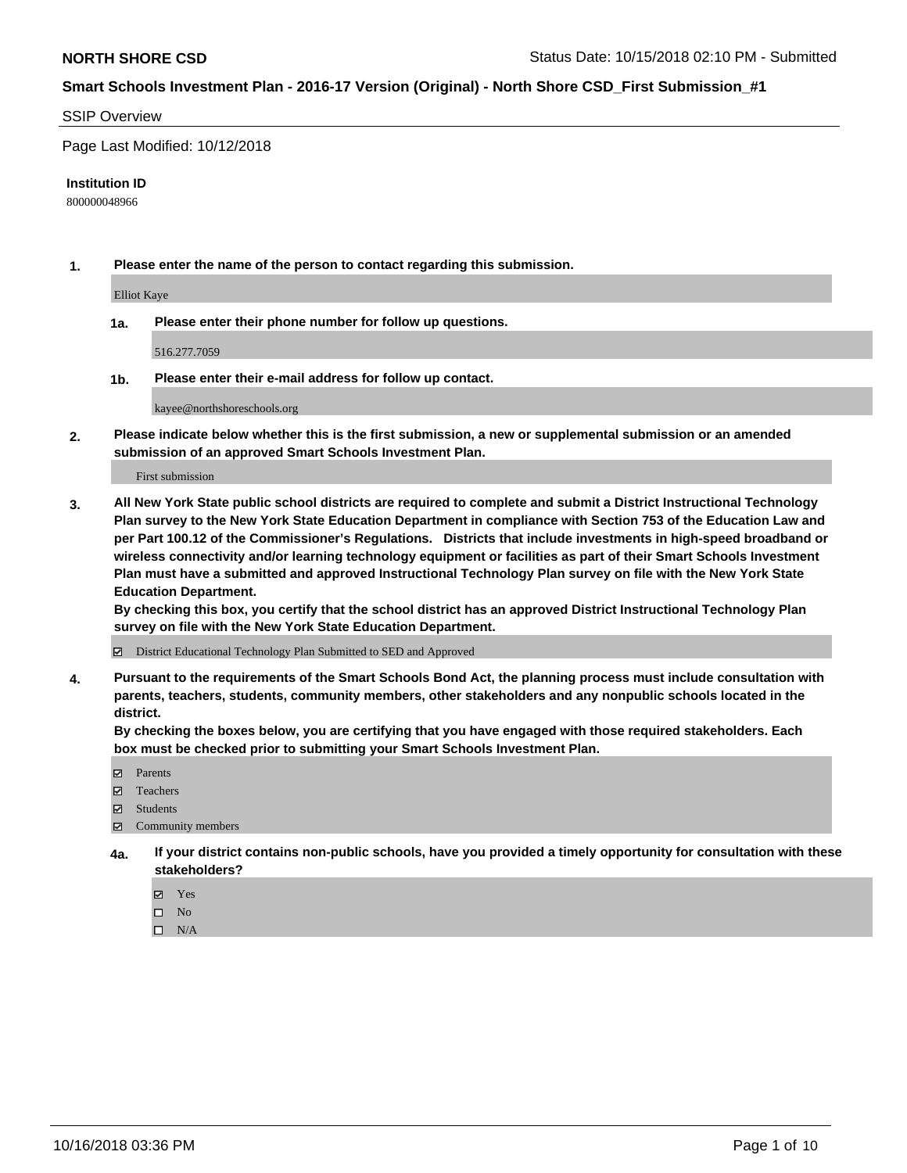#### SSIP Overview

Page Last Modified: 10/12/2018

#### **Institution ID**

800000048966

**1. Please enter the name of the person to contact regarding this submission.**

Elliot Kaye

**1a. Please enter their phone number for follow up questions.**

516.277.7059

**1b. Please enter their e-mail address for follow up contact.**

kayee@northshoreschools.org

**2. Please indicate below whether this is the first submission, a new or supplemental submission or an amended submission of an approved Smart Schools Investment Plan.**

First submission

**3. All New York State public school districts are required to complete and submit a District Instructional Technology Plan survey to the New York State Education Department in compliance with Section 753 of the Education Law and per Part 100.12 of the Commissioner's Regulations. Districts that include investments in high-speed broadband or wireless connectivity and/or learning technology equipment or facilities as part of their Smart Schools Investment Plan must have a submitted and approved Instructional Technology Plan survey on file with the New York State Education Department.** 

**By checking this box, you certify that the school district has an approved District Instructional Technology Plan survey on file with the New York State Education Department.**

District Educational Technology Plan Submitted to SED and Approved

**4. Pursuant to the requirements of the Smart Schools Bond Act, the planning process must include consultation with parents, teachers, students, community members, other stakeholders and any nonpublic schools located in the district.** 

**By checking the boxes below, you are certifying that you have engaged with those required stakeholders. Each box must be checked prior to submitting your Smart Schools Investment Plan.**

- **□** Parents
- Teachers
- Students
- $\boxtimes$  Community members
- **4a. If your district contains non-public schools, have you provided a timely opportunity for consultation with these stakeholders?**
	- Yes
	- $\qquad \qquad$  No
	- $\square$  N/A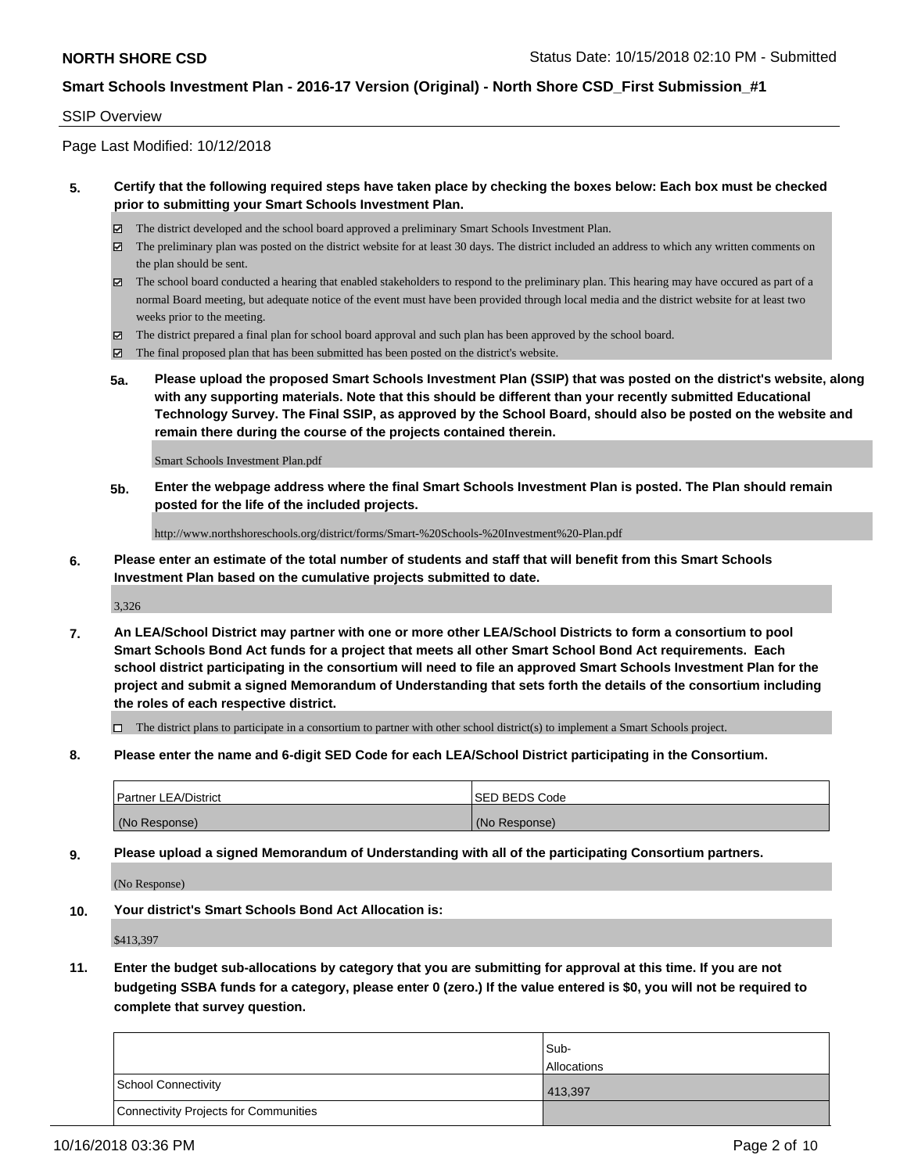#### SSIP Overview

Page Last Modified: 10/12/2018

#### **5. Certify that the following required steps have taken place by checking the boxes below: Each box must be checked prior to submitting your Smart Schools Investment Plan.**

- The district developed and the school board approved a preliminary Smart Schools Investment Plan.
- $\boxtimes$  The preliminary plan was posted on the district website for at least 30 days. The district included an address to which any written comments on the plan should be sent.
- $\boxtimes$  The school board conducted a hearing that enabled stakeholders to respond to the preliminary plan. This hearing may have occured as part of a normal Board meeting, but adequate notice of the event must have been provided through local media and the district website for at least two weeks prior to the meeting.
- The district prepared a final plan for school board approval and such plan has been approved by the school board.
- $\boxtimes$  The final proposed plan that has been submitted has been posted on the district's website.
- **5a. Please upload the proposed Smart Schools Investment Plan (SSIP) that was posted on the district's website, along with any supporting materials. Note that this should be different than your recently submitted Educational Technology Survey. The Final SSIP, as approved by the School Board, should also be posted on the website and remain there during the course of the projects contained therein.**

Smart Schools Investment Plan.pdf

**5b. Enter the webpage address where the final Smart Schools Investment Plan is posted. The Plan should remain posted for the life of the included projects.**

http://www.northshoreschools.org/district/forms/Smart-%20Schools-%20Investment%20-Plan.pdf

**6. Please enter an estimate of the total number of students and staff that will benefit from this Smart Schools Investment Plan based on the cumulative projects submitted to date.**

3,326

**7. An LEA/School District may partner with one or more other LEA/School Districts to form a consortium to pool Smart Schools Bond Act funds for a project that meets all other Smart School Bond Act requirements. Each school district participating in the consortium will need to file an approved Smart Schools Investment Plan for the project and submit a signed Memorandum of Understanding that sets forth the details of the consortium including the roles of each respective district.**

 $\Box$  The district plans to participate in a consortium to partner with other school district(s) to implement a Smart Schools project.

**8. Please enter the name and 6-digit SED Code for each LEA/School District participating in the Consortium.**

| <b>Partner LEA/District</b> | <b>ISED BEDS Code</b> |
|-----------------------------|-----------------------|
| (No Response)               | (No Response)         |

**9. Please upload a signed Memorandum of Understanding with all of the participating Consortium partners.**

(No Response)

**10. Your district's Smart Schools Bond Act Allocation is:**

\$413,397

**11. Enter the budget sub-allocations by category that you are submitting for approval at this time. If you are not budgeting SSBA funds for a category, please enter 0 (zero.) If the value entered is \$0, you will not be required to complete that survey question.**

|                                              | Sub-<br><b>Allocations</b> |
|----------------------------------------------|----------------------------|
| <b>School Connectivity</b>                   | 413,397                    |
| <b>Connectivity Projects for Communities</b> |                            |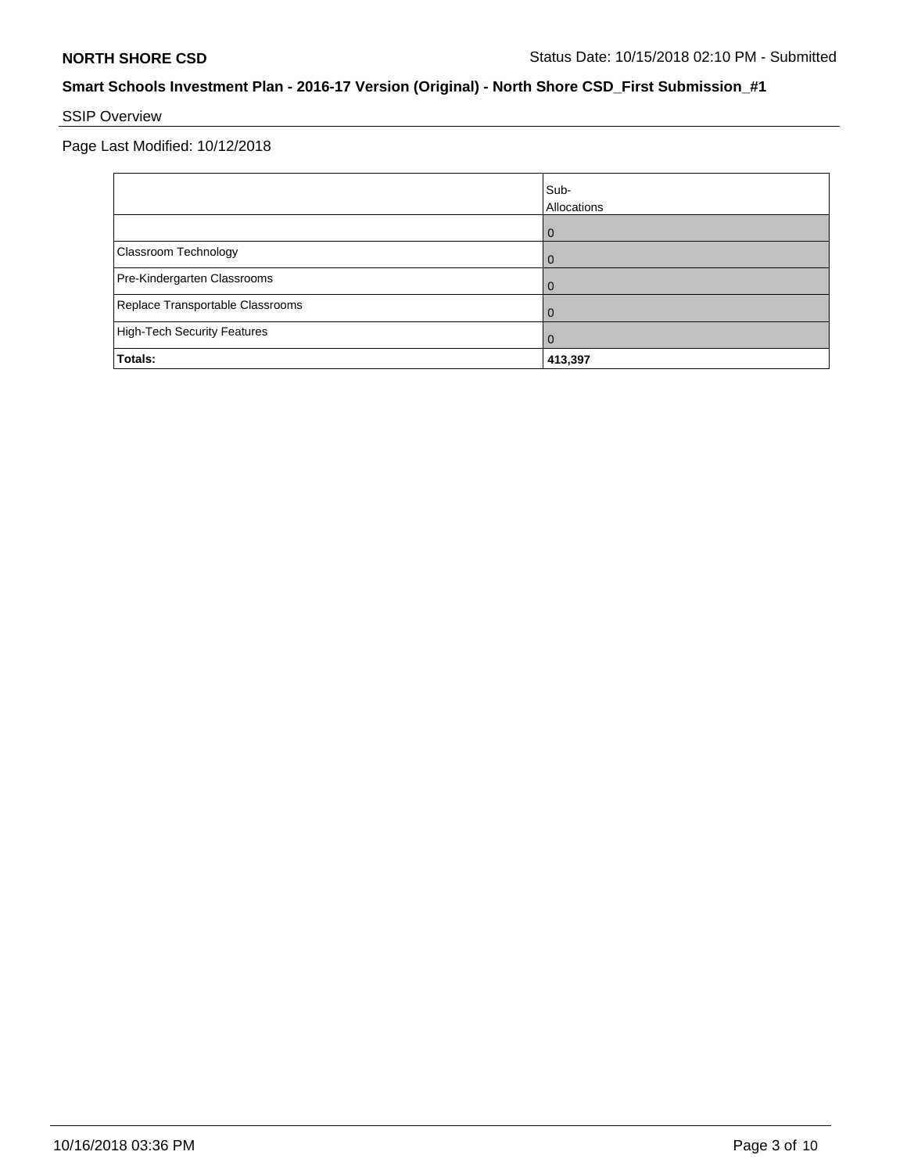# SSIP Overview

|                                    | Sub-<br>Allocations |
|------------------------------------|---------------------|
|                                    | 0                   |
| Classroom Technology               | $\Omega$            |
| Pre-Kindergarten Classrooms        |                     |
| Replace Transportable Classrooms   | O                   |
| <b>High-Tech Security Features</b> | 0                   |
| Totals:                            | 413,397             |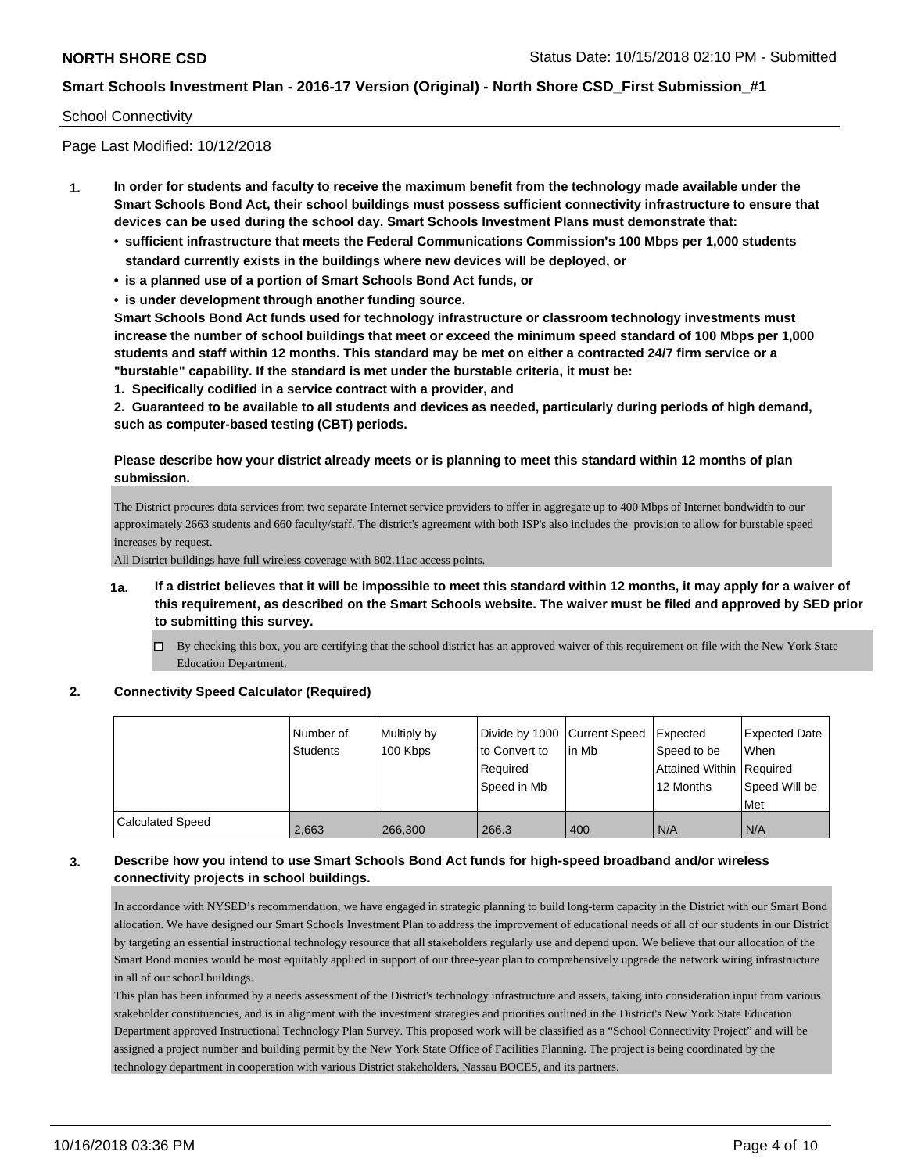#### School Connectivity

Page Last Modified: 10/12/2018

- **1. In order for students and faculty to receive the maximum benefit from the technology made available under the Smart Schools Bond Act, their school buildings must possess sufficient connectivity infrastructure to ensure that devices can be used during the school day. Smart Schools Investment Plans must demonstrate that:**
	- **• sufficient infrastructure that meets the Federal Communications Commission's 100 Mbps per 1,000 students standard currently exists in the buildings where new devices will be deployed, or**
	- **• is a planned use of a portion of Smart Schools Bond Act funds, or**
	- **• is under development through another funding source.**

**Smart Schools Bond Act funds used for technology infrastructure or classroom technology investments must increase the number of school buildings that meet or exceed the minimum speed standard of 100 Mbps per 1,000 students and staff within 12 months. This standard may be met on either a contracted 24/7 firm service or a "burstable" capability. If the standard is met under the burstable criteria, it must be:**

**1. Specifically codified in a service contract with a provider, and**

**2. Guaranteed to be available to all students and devices as needed, particularly during periods of high demand, such as computer-based testing (CBT) periods.**

#### **Please describe how your district already meets or is planning to meet this standard within 12 months of plan submission.**

The District procures data services from two separate Internet service providers to offer in aggregate up to 400 Mbps of Internet bandwidth to our approximately 2663 students and 660 faculty/staff. The district's agreement with both ISP's also includes the provision to allow for burstable speed increases by request.

All District buildings have full wireless coverage with 802.11ac access points.

- **1a. If a district believes that it will be impossible to meet this standard within 12 months, it may apply for a waiver of this requirement, as described on the Smart Schools website. The waiver must be filed and approved by SED prior to submitting this survey.**
	- $\Box$  By checking this box, you are certifying that the school district has an approved waiver of this requirement on file with the New York State Education Department.

#### **2. Connectivity Speed Calculator (Required)**

|                         | Number of<br><b>Students</b> | Multiply by<br>100 Kbps | Divide by 1000 Current Speed<br>to Convert to<br>Required<br>Speed in Mb | lin Mb | <b>Expected</b><br>Speed to be<br>Attained Within Required<br>12 Months | <b>Expected Date</b><br>When<br>Speed Will be<br>Met |
|-------------------------|------------------------------|-------------------------|--------------------------------------------------------------------------|--------|-------------------------------------------------------------------------|------------------------------------------------------|
| <b>Calculated Speed</b> | 2,663                        | 266,300                 | 266.3                                                                    | 400    | N/A                                                                     | I N/A                                                |

#### **3. Describe how you intend to use Smart Schools Bond Act funds for high-speed broadband and/or wireless connectivity projects in school buildings.**

In accordance with NYSED's recommendation, we have engaged in strategic planning to build long-term capacity in the District with our Smart Bond allocation. We have designed our Smart Schools Investment Plan to address the improvement of educational needs of all of our students in our District by targeting an essential instructional technology resource that all stakeholders regularly use and depend upon. We believe that our allocation of the Smart Bond monies would be most equitably applied in support of our three-year plan to comprehensively upgrade the network wiring infrastructure in all of our school buildings.

This plan has been informed by a needs assessment of the District's technology infrastructure and assets, taking into consideration input from various stakeholder constituencies, and is in alignment with the investment strategies and priorities outlined in the District's New York State Education Department approved Instructional Technology Plan Survey. This proposed work will be classified as a "School Connectivity Project" and will be assigned a project number and building permit by the New York State Office of Facilities Planning. The project is being coordinated by the technology department in cooperation with various District stakeholders, Nassau BOCES, and its partners.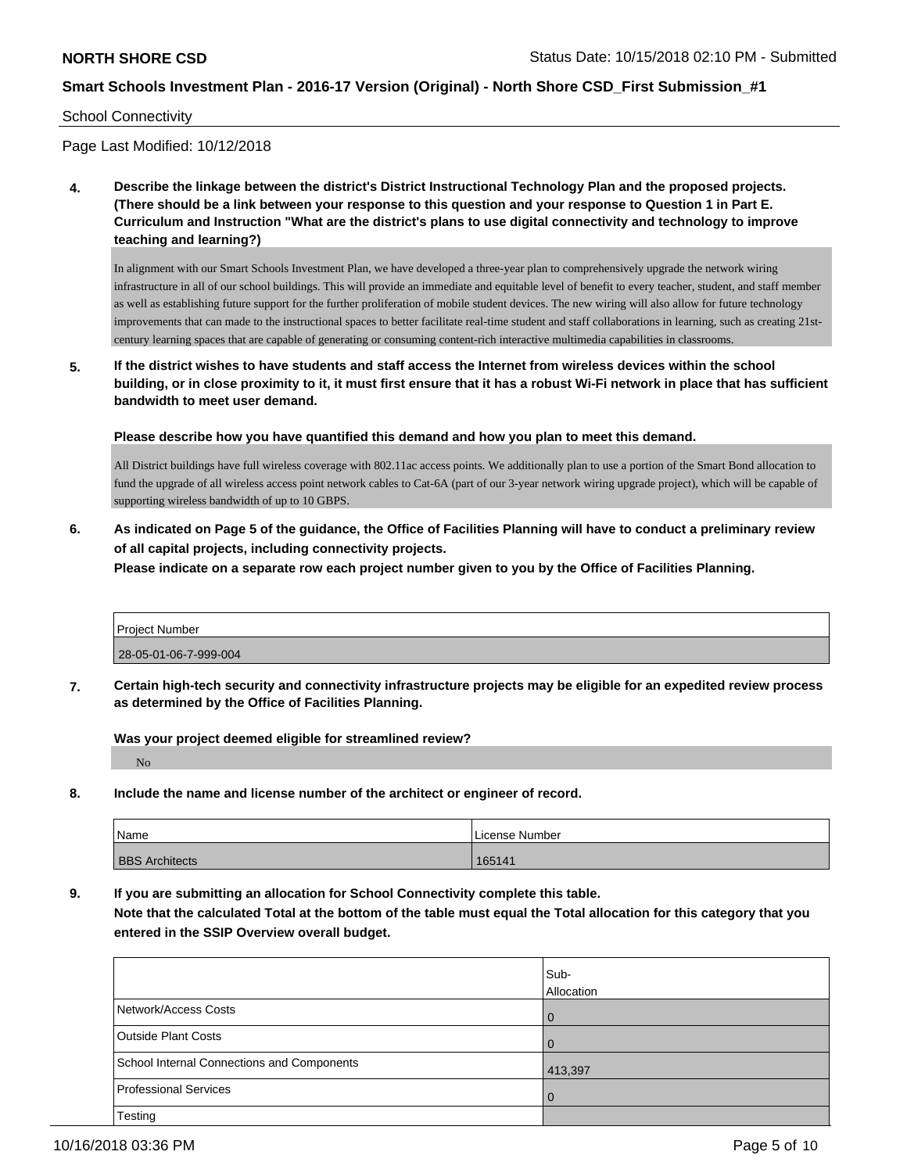#### School Connectivity

Page Last Modified: 10/12/2018

**4. Describe the linkage between the district's District Instructional Technology Plan and the proposed projects. (There should be a link between your response to this question and your response to Question 1 in Part E. Curriculum and Instruction "What are the district's plans to use digital connectivity and technology to improve teaching and learning?)**

In alignment with our Smart Schools Investment Plan, we have developed a three-year plan to comprehensively upgrade the network wiring infrastructure in all of our school buildings. This will provide an immediate and equitable level of benefit to every teacher, student, and staff member as well as establishing future support for the further proliferation of mobile student devices. The new wiring will also allow for future technology improvements that can made to the instructional spaces to better facilitate real-time student and staff collaborations in learning, such as creating 21stcentury learning spaces that are capable of generating or consuming content-rich interactive multimedia capabilities in classrooms.

**5. If the district wishes to have students and staff access the Internet from wireless devices within the school building, or in close proximity to it, it must first ensure that it has a robust Wi-Fi network in place that has sufficient bandwidth to meet user demand.**

**Please describe how you have quantified this demand and how you plan to meet this demand.**

All District buildings have full wireless coverage with 802.11ac access points. We additionally plan to use a portion of the Smart Bond allocation to fund the upgrade of all wireless access point network cables to Cat-6A (part of our 3-year network wiring upgrade project), which will be capable of supporting wireless bandwidth of up to 10 GBPS.

**6. As indicated on Page 5 of the guidance, the Office of Facilities Planning will have to conduct a preliminary review of all capital projects, including connectivity projects.**

**Please indicate on a separate row each project number given to you by the Office of Facilities Planning.**

| <b>Project Number</b> |  |
|-----------------------|--|
| 28-05-01-06-7-999-004 |  |

**7. Certain high-tech security and connectivity infrastructure projects may be eligible for an expedited review process as determined by the Office of Facilities Planning.**

**Was your project deemed eligible for streamlined review?**

No

**8. Include the name and license number of the architect or engineer of record.**

| Name                  | License Number |
|-----------------------|----------------|
| <b>BBS</b> Architects | 165141         |

**9. If you are submitting an allocation for School Connectivity complete this table.**

**Note that the calculated Total at the bottom of the table must equal the Total allocation for this category that you entered in the SSIP Overview overall budget.** 

|                                            | Sub-<br>Allocation |
|--------------------------------------------|--------------------|
| Network/Access Costs                       | - 0                |
| Outside Plant Costs                        | l O                |
| School Internal Connections and Components | 413,397            |
| Professional Services                      | l O                |
| Testing                                    |                    |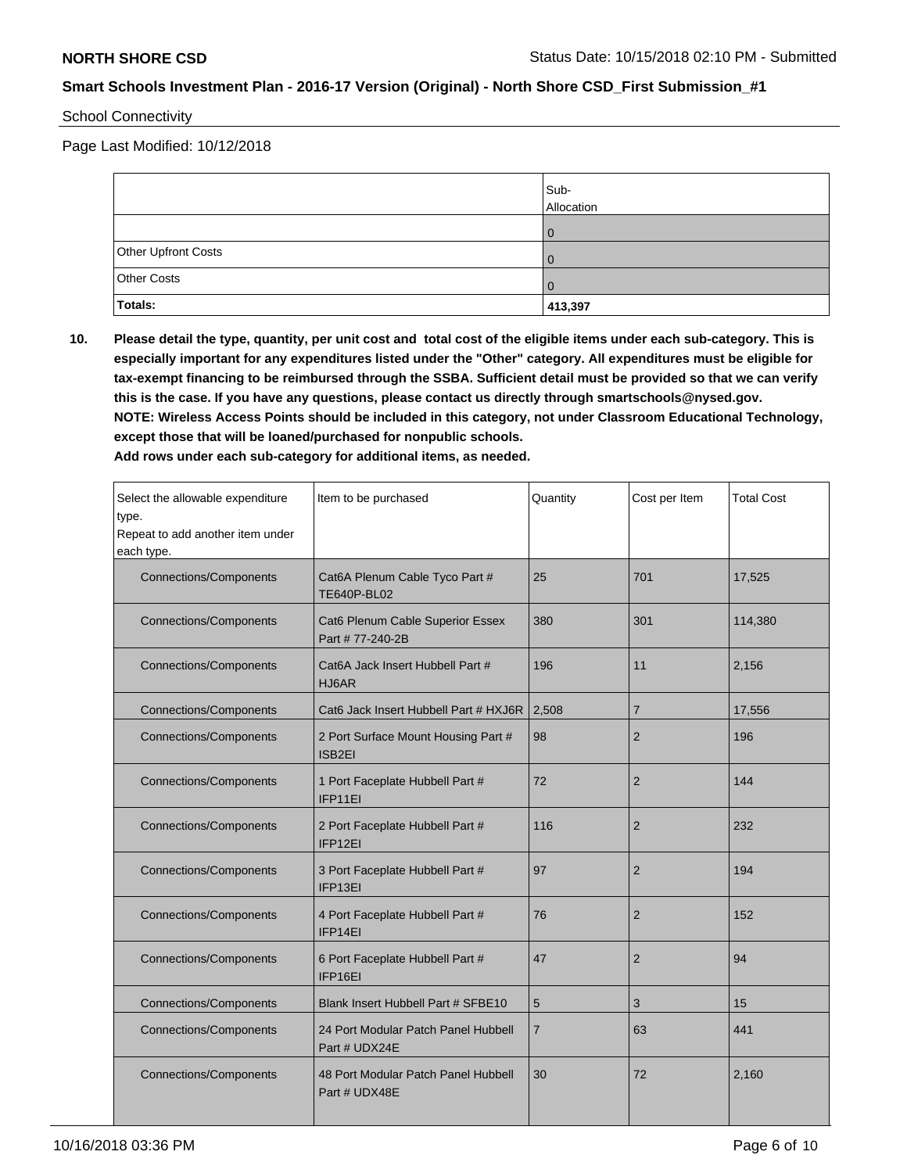### School Connectivity

Page Last Modified: 10/12/2018

|                     | Sub-<br>Allocation |
|---------------------|--------------------|
|                     |                    |
| Other Upfront Costs |                    |
| Other Costs         |                    |
| <b>Totals:</b>      | 413,397            |

**10. Please detail the type, quantity, per unit cost and total cost of the eligible items under each sub-category. This is especially important for any expenditures listed under the "Other" category. All expenditures must be eligible for tax-exempt financing to be reimbursed through the SSBA. Sufficient detail must be provided so that we can verify this is the case. If you have any questions, please contact us directly through smartschools@nysed.gov. NOTE: Wireless Access Points should be included in this category, not under Classroom Educational Technology, except those that will be loaned/purchased for nonpublic schools.**

**Add rows under each sub-category for additional items, as needed.**

| Select the allowable expenditure<br>type.<br>Repeat to add another item under<br>each type. | Item to be purchased                                 | Quantity       | Cost per Item  | <b>Total Cost</b> |  |
|---------------------------------------------------------------------------------------------|------------------------------------------------------|----------------|----------------|-------------------|--|
| <b>Connections/Components</b>                                                               | Cat6A Plenum Cable Tyco Part #<br><b>TE640P-BL02</b> | 25             | 701            | 17,525            |  |
| <b>Connections/Components</b>                                                               | Cat6 Plenum Cable Superior Essex<br>Part #77-240-2B  | 380            | 301            | 114,380           |  |
| <b>Connections/Components</b>                                                               | Cat6A Jack Insert Hubbell Part #<br>HJ6AR            | 196<br>11      |                |                   |  |
| <b>Connections/Components</b>                                                               | Cat6 Jack Insert Hubbell Part # HXJ6R                | 2,508          | $\overline{7}$ | 17,556            |  |
| <b>Connections/Components</b>                                                               | 2 Port Surface Mount Housing Part #<br>ISB2EI        | 98             | 2              | 196               |  |
| <b>Connections/Components</b>                                                               | 1 Port Faceplate Hubbell Part #<br>IFP11EI           | 72             | $\overline{2}$ | 144               |  |
| <b>Connections/Components</b>                                                               | 2 Port Faceplate Hubbell Part #<br>IFP12EI           | 116            | $\overline{2}$ | 232               |  |
| <b>Connections/Components</b>                                                               | 3 Port Faceplate Hubbell Part #<br>IFP13EI           | 97             | $\overline{2}$ | 194               |  |
| <b>Connections/Components</b>                                                               | 4 Port Faceplate Hubbell Part #<br>IFP14EI           | 76             | $\overline{2}$ | 152               |  |
| <b>Connections/Components</b>                                                               | 6 Port Faceplate Hubbell Part #<br>IFP16EI           | 47             | $\overline{2}$ | 94                |  |
| <b>Connections/Components</b>                                                               | Blank Insert Hubbell Part # SFBE10                   | 5              | 3              | 15                |  |
| <b>Connections/Components</b>                                                               | 24 Port Modular Patch Panel Hubbell<br>Part # UDX24E | $\overline{7}$ | 63             | 441               |  |
| <b>Connections/Components</b>                                                               | 48 Port Modular Patch Panel Hubbell<br>Part # UDX48E | 30             | 72             | 2,160             |  |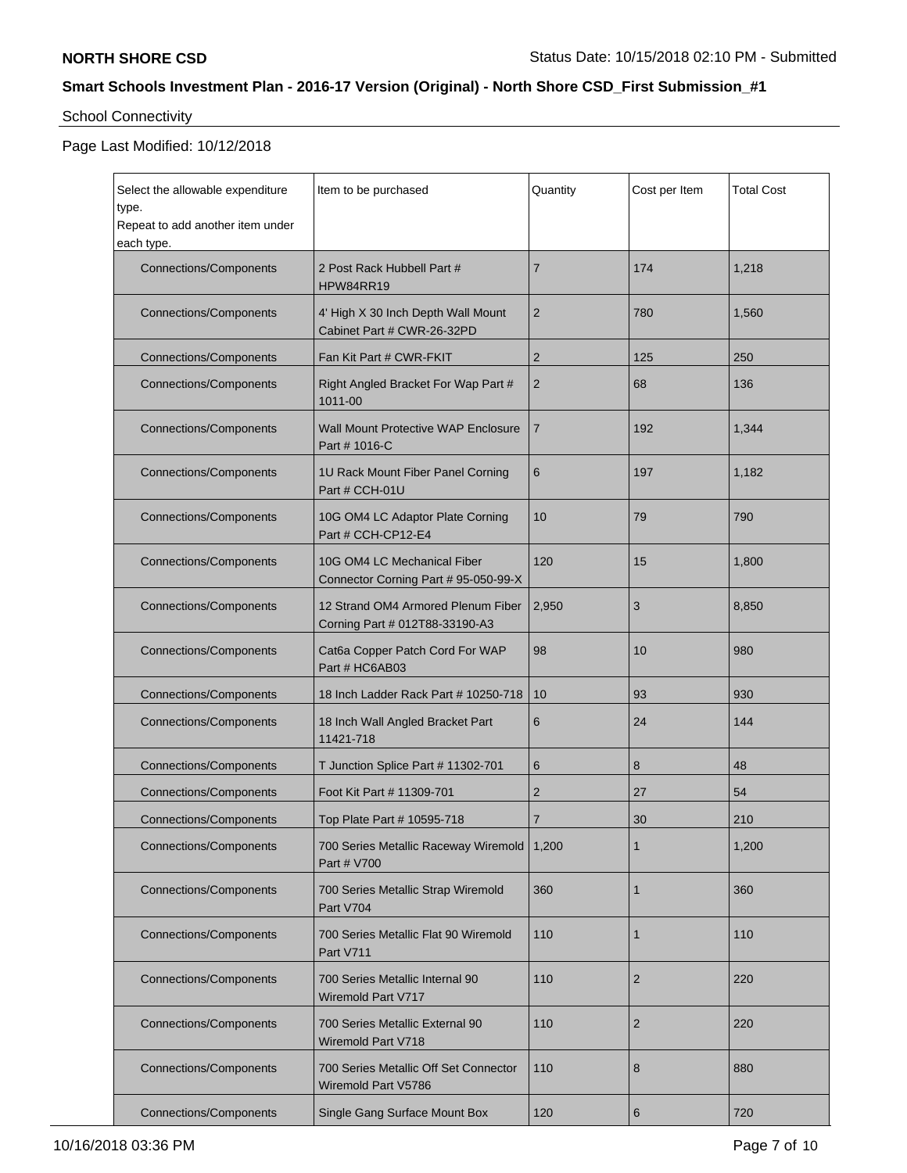# School Connectivity

| Select the allowable expenditure<br>type.      | Item to be purchased                                                 | Quantity       | Cost per Item  | <b>Total Cost</b> |
|------------------------------------------------|----------------------------------------------------------------------|----------------|----------------|-------------------|
| Repeat to add another item under<br>each type. |                                                                      |                |                |                   |
| <b>Connections/Components</b>                  | 2 Post Rack Hubbell Part #<br>HPW84RR19                              | $\overline{7}$ | 174            | 1,218             |
| <b>Connections/Components</b>                  | 4' High X 30 Inch Depth Wall Mount<br>Cabinet Part # CWR-26-32PD     | $\overline{2}$ | 780            | 1,560             |
| <b>Connections/Components</b>                  | Fan Kit Part # CWR-FKIT                                              | $\overline{2}$ | 125            | 250               |
| <b>Connections/Components</b>                  | Right Angled Bracket For Wap Part #<br>1011-00                       | $\overline{2}$ | 68             | 136               |
| <b>Connections/Components</b>                  | <b>Wall Mount Protective WAP Enclosure</b><br>Part # 1016-C          | $\overline{7}$ | 192            | 1,344             |
| <b>Connections/Components</b>                  | 1U Rack Mount Fiber Panel Corning<br>Part # CCH-01U                  | 6              | 197            | 1,182             |
| <b>Connections/Components</b>                  | 10G OM4 LC Adaptor Plate Corning<br>Part # CCH-CP12-E4               | 10             | 79             | 790               |
| <b>Connections/Components</b>                  | 10G OM4 LC Mechanical Fiber<br>Connector Corning Part # 95-050-99-X  | 120            | 15             | 1,800             |
| <b>Connections/Components</b>                  | 12 Strand OM4 Armored Plenum Fiber<br>Corning Part # 012T88-33190-A3 | 2,950          | 3              | 8,850             |
| <b>Connections/Components</b>                  | Cat6a Copper Patch Cord For WAP<br>Part # HC6AB03                    | 98             | 10             | 980               |
| <b>Connections/Components</b>                  | 18 Inch Ladder Rack Part # 10250-718                                 | 10             | 93             | 930               |
| <b>Connections/Components</b>                  | 18 Inch Wall Angled Bracket Part<br>11421-718                        | 6              | 24             | 144               |
| <b>Connections/Components</b>                  | T Junction Splice Part # 11302-701                                   | 6              | 8              | 48                |
| <b>Connections/Components</b>                  | Foot Kit Part # 11309-701                                            | 2              | 27             | 54                |
| <b>Connections/Components</b>                  | Top Plate Part # 10595-718                                           | $\overline{7}$ | 30             | 210               |
| <b>Connections/Components</b>                  | 700 Series Metallic Raceway Wiremold<br>Part # V700                  | 1,200          | 1              | 1,200             |
| <b>Connections/Components</b>                  | 700 Series Metallic Strap Wiremold<br>Part V704                      | 360            | 1              | 360               |
| <b>Connections/Components</b>                  | 700 Series Metallic Flat 90 Wiremold<br>Part V711                    | 110            | 1              | 110               |
| <b>Connections/Components</b>                  | 700 Series Metallic Internal 90<br>Wiremold Part V717                | 110            | $\overline{2}$ | 220               |
| <b>Connections/Components</b>                  | 700 Series Metallic External 90<br>Wiremold Part V718                | 110            | $\overline{2}$ | 220               |
| <b>Connections/Components</b>                  | 700 Series Metallic Off Set Connector<br>Wiremold Part V5786         | 110            | 8              | 880               |
| <b>Connections/Components</b>                  | Single Gang Surface Mount Box                                        | 120            | $\,6\,$        | 720               |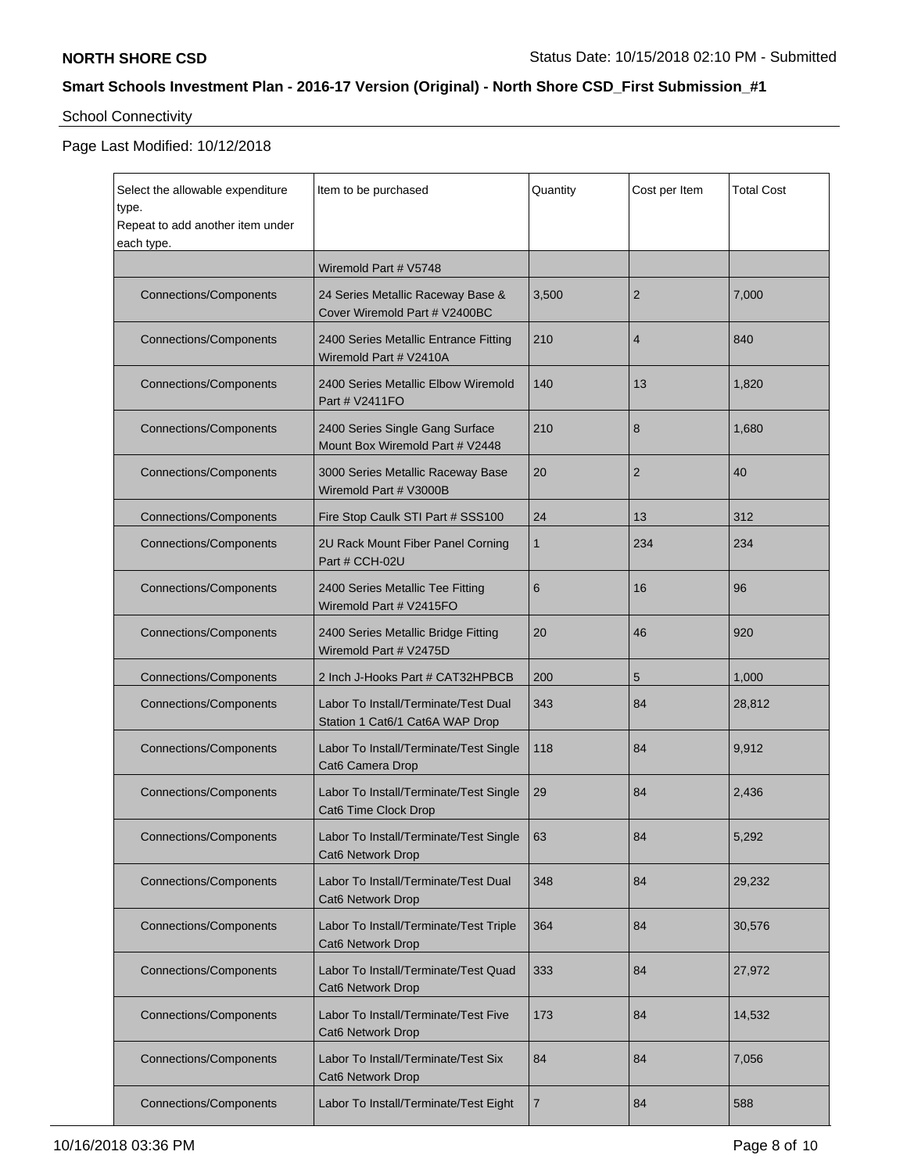# School Connectivity

| Select the allowable expenditure<br>type.      | Item to be purchased                                                    | Quantity | Cost per Item  | <b>Total Cost</b> |
|------------------------------------------------|-------------------------------------------------------------------------|----------|----------------|-------------------|
| Repeat to add another item under<br>each type. |                                                                         |          |                |                   |
|                                                | Wiremold Part # V5748                                                   |          |                |                   |
| <b>Connections/Components</b>                  | 24 Series Metallic Raceway Base &<br>Cover Wiremold Part # V2400BC      | 3,500    | 2              | 7,000             |
| <b>Connections/Components</b>                  | 2400 Series Metallic Entrance Fitting<br>Wiremold Part # V2410A         | 210      | $\overline{4}$ | 840               |
| <b>Connections/Components</b>                  | 2400 Series Metallic Elbow Wiremold<br>Part # V2411FO                   | 140      | 13             | 1,820             |
| <b>Connections/Components</b>                  | 2400 Series Single Gang Surface<br>Mount Box Wiremold Part # V2448      | 210      | 8              | 1,680             |
| <b>Connections/Components</b>                  | 3000 Series Metallic Raceway Base<br>Wiremold Part # V3000B             | 20       | $\overline{2}$ | 40                |
| <b>Connections/Components</b>                  | Fire Stop Caulk STI Part # SSS100                                       | 24       | 13             | 312               |
| <b>Connections/Components</b>                  | 2U Rack Mount Fiber Panel Corning<br>Part # CCH-02U                     | 1        | 234            | 234               |
| <b>Connections/Components</b>                  | 2400 Series Metallic Tee Fitting<br>Wiremold Part # V2415FO             | 6        | 16             | 96                |
| <b>Connections/Components</b>                  | 2400 Series Metallic Bridge Fitting<br>Wiremold Part # V2475D           | 20       | 46             | 920               |
| <b>Connections/Components</b>                  | 2 Inch J-Hooks Part # CAT32HPBCB                                        | 200      | 5              | 1,000             |
| <b>Connections/Components</b>                  | Labor To Install/Terminate/Test Dual<br>Station 1 Cat6/1 Cat6A WAP Drop | 343      | 84             | 28,812            |
| <b>Connections/Components</b>                  | Labor To Install/Terminate/Test Single<br>Cat6 Camera Drop              | 118      | 84             | 9,912             |
| <b>Connections/Components</b>                  | Labor To Install/Terminate/Test Single<br>Cat6 Time Clock Drop          | 29       | 84             | 2,436             |
| <b>Connections/Components</b>                  | Labor To Install/Terminate/Test Single   63<br>Cat6 Network Drop        |          | 84             | 5,292             |
| <b>Connections/Components</b>                  | Labor To Install/Terminate/Test Dual<br>Cat6 Network Drop               | 348      | 84             | 29,232            |
| <b>Connections/Components</b>                  | Labor To Install/Terminate/Test Triple<br>Cat6 Network Drop             | 364      | 84             | 30,576            |
| <b>Connections/Components</b>                  | Labor To Install/Terminate/Test Quad<br>Cat6 Network Drop               | 333      | 84             | 27,972            |
| <b>Connections/Components</b>                  | Labor To Install/Terminate/Test Five<br>Cat6 Network Drop               | 173      | 84             | 14.532            |
| <b>Connections/Components</b>                  | Labor To Install/Terminate/Test Six<br>Cat6 Network Drop                | 84       | 84             | 7,056             |
| <b>Connections/Components</b>                  | Labor To Install/Terminate/Test Eight                                   | 7        | 84             | 588               |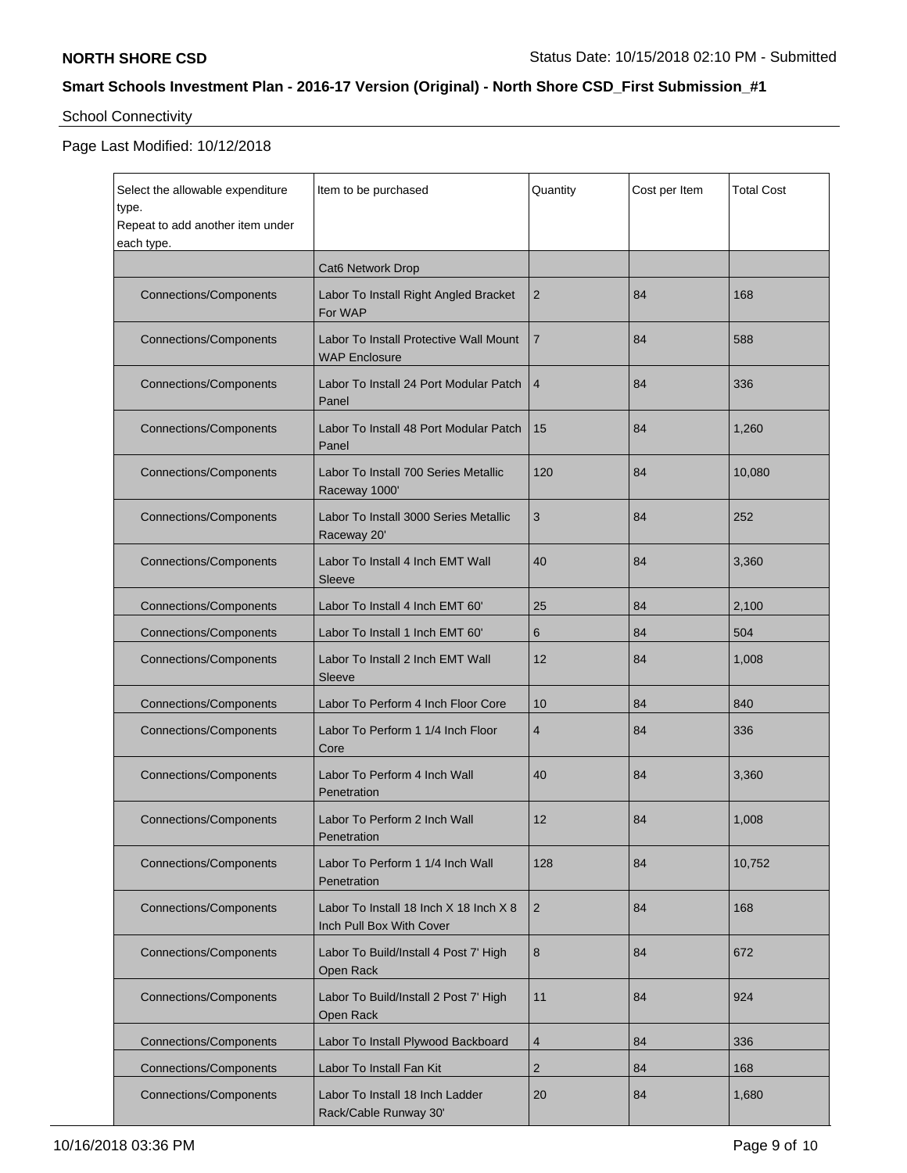# School Connectivity

| Select the allowable expenditure<br>type.<br>Repeat to add another item under<br>each type. | Item to be purchased                                               | Quantity       | Cost per Item | <b>Total Cost</b> |
|---------------------------------------------------------------------------------------------|--------------------------------------------------------------------|----------------|---------------|-------------------|
|                                                                                             | Cat6 Network Drop                                                  |                |               |                   |
| <b>Connections/Components</b>                                                               | Labor To Install Right Angled Bracket<br>For WAP                   | 2              | 84            | 168               |
| <b>Connections/Components</b>                                                               | Labor To Install Protective Wall Mount<br><b>WAP Enclosure</b>     | $\overline{7}$ | 84            | 588               |
| <b>Connections/Components</b>                                                               | Labor To Install 24 Port Modular Patch<br>Panel                    | $\overline{4}$ | 84            | 336               |
| <b>Connections/Components</b>                                                               | Labor To Install 48 Port Modular Patch<br>Panel                    | 15             | 84            | 1,260             |
| <b>Connections/Components</b>                                                               | Labor To Install 700 Series Metallic<br>Raceway 1000'              | 120            | 84            | 10,080            |
| <b>Connections/Components</b>                                                               | Labor To Install 3000 Series Metallic<br>Raceway 20'               | 3              | 84            | 252               |
| <b>Connections/Components</b>                                                               | Labor To Install 4 Inch EMT Wall<br>Sleeve                         | 40             | 84            | 3,360             |
| <b>Connections/Components</b>                                                               | Labor To Install 4 Inch EMT 60'                                    | 25             | 84            | 2,100             |
| <b>Connections/Components</b>                                                               | Labor To Install 1 Inch EMT 60'                                    | 6              | 84            | 504               |
| <b>Connections/Components</b>                                                               | Labor To Install 2 Inch EMT Wall<br>Sleeve                         | 12             | 84            | 1,008             |
| <b>Connections/Components</b>                                                               | Labor To Perform 4 Inch Floor Core                                 | 10             | 84            | 840               |
| <b>Connections/Components</b>                                                               | Labor To Perform 1 1/4 Inch Floor<br>Core                          | $\overline{4}$ | 84            | 336               |
| <b>Connections/Components</b>                                                               | Labor To Perform 4 Inch Wall<br>Penetration                        | 40             | 84            | 3,360             |
| <b>Connections/Components</b>                                                               | Labor To Perform 2 Inch Wall<br>Penetration                        | 12             | 84            | 1,008             |
| <b>Connections/Components</b>                                                               | Labor To Perform 1 1/4 Inch Wall<br>Penetration                    | 128            | 84            | 10,752            |
| <b>Connections/Components</b>                                                               | Labor To Install 18 Inch X 18 Inch X 8<br>Inch Pull Box With Cover | $\overline{2}$ | 84            | 168               |
| <b>Connections/Components</b>                                                               | Labor To Build/Install 4 Post 7' High<br>Open Rack                 | 8              | 84            | 672               |
| <b>Connections/Components</b>                                                               | Labor To Build/Install 2 Post 7' High<br>Open Rack                 | 11             | 84            | 924               |
| <b>Connections/Components</b>                                                               | Labor To Install Plywood Backboard                                 | $\overline{4}$ | 84            | 336               |
| <b>Connections/Components</b>                                                               | Labor To Install Fan Kit                                           | $\overline{2}$ | 84            | 168               |
| <b>Connections/Components</b>                                                               | Labor To Install 18 Inch Ladder<br>Rack/Cable Runway 30'           | 20             | 84            | 1,680             |